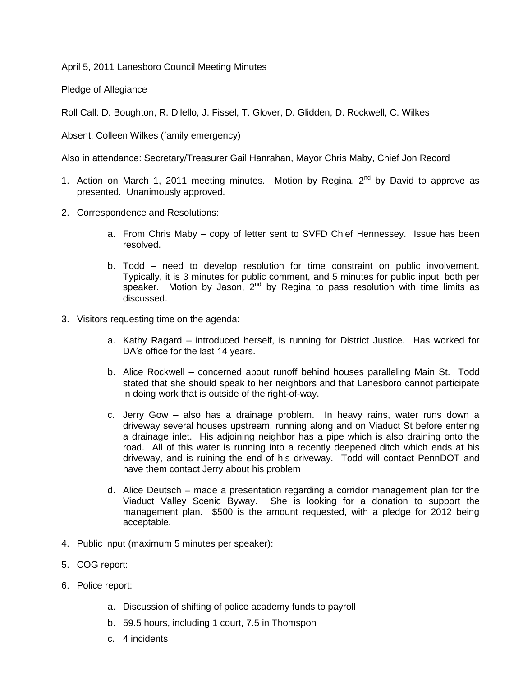April 5, 2011 Lanesboro Council Meeting Minutes

Pledge of Allegiance

Roll Call: D. Boughton, R. Dilello, J. Fissel, T. Glover, D. Glidden, D. Rockwell, C. Wilkes

Absent: Colleen Wilkes (family emergency)

Also in attendance: Secretary/Treasurer Gail Hanrahan, Mayor Chris Maby, Chief Jon Record

- 1. Action on March 1, 2011 meeting minutes. Motion by Regina,  $2^{nd}$  by David to approve as presented. Unanimously approved.
- 2. Correspondence and Resolutions:
	- a. From Chris Maby copy of letter sent to SVFD Chief Hennessey. Issue has been resolved.
	- b. Todd need to develop resolution for time constraint on public involvement. Typically, it is 3 minutes for public comment, and 5 minutes for public input, both per speaker. Motion by Jason,  $2<sup>nd</sup>$  by Regina to pass resolution with time limits as discussed.
- 3. Visitors requesting time on the agenda:
	- a. Kathy Ragard introduced herself, is running for District Justice. Has worked for DA's office for the last 14 years.
	- b. Alice Rockwell concerned about runoff behind houses paralleling Main St. Todd stated that she should speak to her neighbors and that Lanesboro cannot participate in doing work that is outside of the right-of-way.
	- c. Jerry Gow also has a drainage problem. In heavy rains, water runs down a driveway several houses upstream, running along and on Viaduct St before entering a drainage inlet. His adjoining neighbor has a pipe which is also draining onto the road. All of this water is running into a recently deepened ditch which ends at his driveway, and is ruining the end of his driveway. Todd will contact PennDOT and have them contact Jerry about his problem
	- d. Alice Deutsch made a presentation regarding a corridor management plan for the Viaduct Valley Scenic Byway. She is looking for a donation to support the management plan. \$500 is the amount requested, with a pledge for 2012 being acceptable.
- 4. Public input (maximum 5 minutes per speaker):
- 5. COG report:
- 6. Police report:
	- a. Discussion of shifting of police academy funds to payroll
	- b. 59.5 hours, including 1 court, 7.5 in Thomspon
	- c. 4 incidents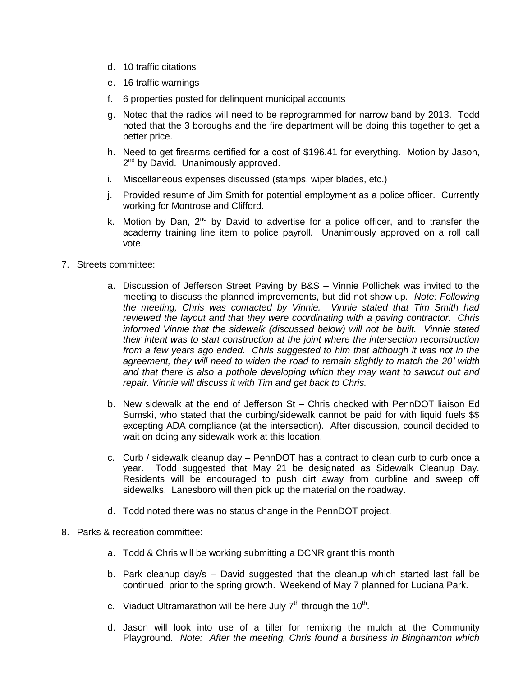- d. 10 traffic citations
- e. 16 traffic warnings
- f. 6 properties posted for delinquent municipal accounts
- g. Noted that the radios will need to be reprogrammed for narrow band by 2013. Todd noted that the 3 boroughs and the fire department will be doing this together to get a better price.
- h. Need to get firearms certified for a cost of \$196.41 for everything. Motion by Jason, 2<sup>nd</sup> by David. Unanimously approved.
- i. Miscellaneous expenses discussed (stamps, wiper blades, etc.)
- j. Provided resume of Jim Smith for potential employment as a police officer. Currently working for Montrose and Clifford.
- k. Motion by Dan,  $2^{nd}$  by David to advertise for a police officer, and to transfer the academy training line item to police payroll. Unanimously approved on a roll call vote.
- 7. Streets committee:
	- a. Discussion of Jefferson Street Paving by B&S Vinnie Pollichek was invited to the meeting to discuss the planned improvements, but did not show up. *Note: Following the meeting, Chris was contacted by Vinnie. Vinnie stated that Tim Smith had reviewed the layout and that they were coordinating with a paving contractor. Chris informed Vinnie that the sidewalk (discussed below) will not be built. Vinnie stated their intent was to start construction at the joint where the intersection reconstruction from a few years ago ended. Chris suggested to him that although it was not in the agreement, they will need to widen the road to remain slightly to match the 20' width and that there is also a pothole developing which they may want to sawcut out and repair. Vinnie will discuss it with Tim and get back to Chris.*
	- b. New sidewalk at the end of Jefferson St Chris checked with PennDOT liaison Ed Sumski, who stated that the curbing/sidewalk cannot be paid for with liquid fuels \$\$ excepting ADA compliance (at the intersection). After discussion, council decided to wait on doing any sidewalk work at this location.
	- c. Curb / sidewalk cleanup day PennDOT has a contract to clean curb to curb once a year. Todd suggested that May 21 be designated as Sidewalk Cleanup Day. Residents will be encouraged to push dirt away from curbline and sweep off sidewalks. Lanesboro will then pick up the material on the roadway.
	- d. Todd noted there was no status change in the PennDOT project.
- 8. Parks & recreation committee:
	- a. Todd & Chris will be working submitting a DCNR grant this month
	- b. Park cleanup day/s David suggested that the cleanup which started last fall be continued, prior to the spring growth. Weekend of May 7 planned for Luciana Park.
	- c. Viaduct Ultramarathon will be here July  $7<sup>th</sup>$  through the 10<sup>th</sup>.
	- d. Jason will look into use of a tiller for remixing the mulch at the Community Playground. *Note: After the meeting, Chris found a business in Binghamton which*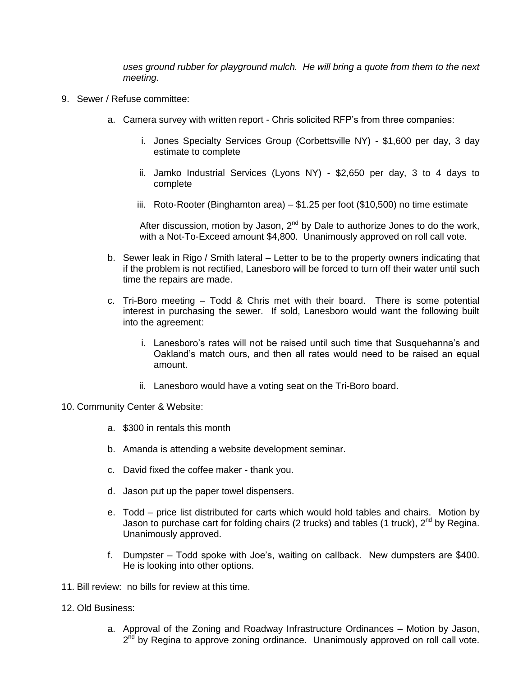*uses ground rubber for playground mulch. He will bring a quote from them to the next meeting.*

- 9. Sewer / Refuse committee:
	- a. Camera survey with written report Chris solicited RFP's from three companies:
		- i. Jones Specialty Services Group (Corbettsville NY) \$1,600 per day, 3 day estimate to complete
		- ii. Jamko Industrial Services (Lyons NY) \$2,650 per day, 3 to 4 days to complete
		- iii. Roto-Rooter (Binghamton area) \$1.25 per foot (\$10,500) no time estimate

After discussion, motion by Jason,  $2<sup>nd</sup>$  by Dale to authorize Jones to do the work, with a Not-To-Exceed amount \$4,800. Unanimously approved on roll call vote.

- b. Sewer leak in Rigo / Smith lateral Letter to be to the property owners indicating that if the problem is not rectified, Lanesboro will be forced to turn off their water until such time the repairs are made.
- c. Tri-Boro meeting Todd & Chris met with their board. There is some potential interest in purchasing the sewer. If sold, Lanesboro would want the following built into the agreement:
	- i. Lanesboro's rates will not be raised until such time that Susquehanna's and Oakland's match ours, and then all rates would need to be raised an equal amount.
	- ii. Lanesboro would have a voting seat on the Tri-Boro board.

## 10. Community Center & Website:

- a. \$300 in rentals this month
- b. Amanda is attending a website development seminar.
- c. David fixed the coffee maker thank you.
- d. Jason put up the paper towel dispensers.
- e. Todd price list distributed for carts which would hold tables and chairs. Motion by Jason to purchase cart for folding chairs (2 trucks) and tables (1 truck),  $2^{nd}$  by Regina. Unanimously approved.
- f. Dumpster Todd spoke with Joe's, waiting on callback. New dumpsters are \$400. He is looking into other options.
- 11. Bill review: no bills for review at this time.
- 12. Old Business:
	- a. Approval of the Zoning and Roadway Infrastructure Ordinances Motion by Jason, 2<sup>nd</sup> by Regina to approve zoning ordinance. Unanimously approved on roll call vote.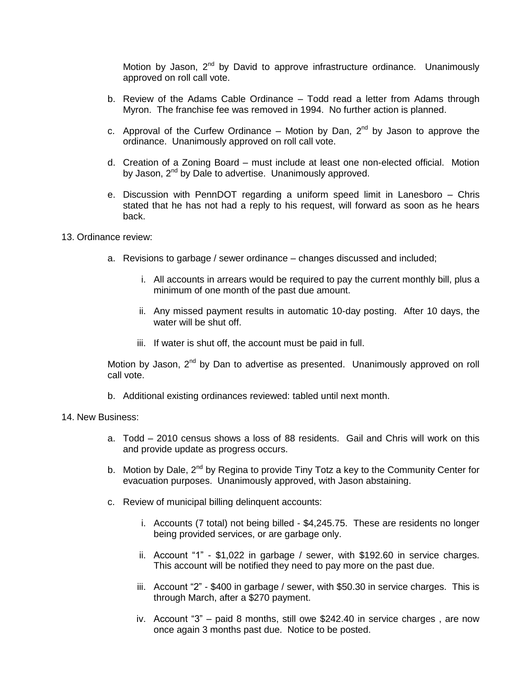Motion by Jason,  $2^{nd}$  by David to approve infrastructure ordinance. Unanimously approved on roll call vote.

- b. Review of the Adams Cable Ordinance Todd read a letter from Adams through Myron. The franchise fee was removed in 1994. No further action is planned.
- c. Approval of the Curfew Ordinance Motion by Dan,  $2^{nd}$  by Jason to approve the ordinance. Unanimously approved on roll call vote.
- d. Creation of a Zoning Board must include at least one non-elected official. Motion by Jason, 2<sup>nd</sup> by Dale to advertise. Unanimously approved.
- e. Discussion with PennDOT regarding a uniform speed limit in Lanesboro Chris stated that he has not had a reply to his request, will forward as soon as he hears back.

## 13. Ordinance review:

- a. Revisions to garbage / sewer ordinance changes discussed and included;
	- i. All accounts in arrears would be required to pay the current monthly bill, plus a minimum of one month of the past due amount.
	- ii. Any missed payment results in automatic 10-day posting. After 10 days, the water will be shut off.
	- iii. If water is shut off, the account must be paid in full.

Motion by Jason, 2<sup>nd</sup> by Dan to advertise as presented. Unanimously approved on roll call vote.

b. Additional existing ordinances reviewed: tabled until next month.

## 14. New Business:

- a. Todd 2010 census shows a loss of 88 residents. Gail and Chris will work on this and provide update as progress occurs.
- b. Motion by Dale, 2<sup>nd</sup> by Regina to provide Tiny Totz a key to the Community Center for evacuation purposes. Unanimously approved, with Jason abstaining.
- c. Review of municipal billing delinquent accounts:
	- i. Accounts (7 total) not being billed \$4,245.75. These are residents no longer being provided services, or are garbage only.
	- ii. Account "1" \$1,022 in garbage / sewer, with \$192.60 in service charges. This account will be notified they need to pay more on the past due.
	- iii. Account "2" \$400 in garbage / sewer, with \$50.30 in service charges. This is through March, after a \$270 payment.
	- iv. Account "3" paid 8 months, still owe \$242.40 in service charges , are now once again 3 months past due. Notice to be posted.